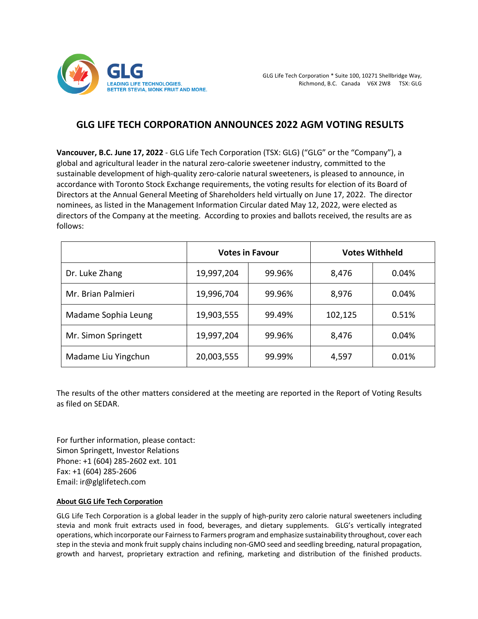

## **GLG LIFE TECH CORPORATION ANNOUNCES 2022 AGM VOTING RESULTS**

**Vancouver, B.C. June 17, 2022** - GLG Life Tech Corporation (TSX: GLG) ("GLG" or the "Company"), a global and agricultural leader in the natural zero-calorie sweetener industry, committed to the sustainable development of high-quality zero-calorie natural sweeteners, is pleased to announce, in accordance with Toronto Stock Exchange requirements, the voting results for election of its Board of Directors at the Annual General Meeting of Shareholders held virtually on June 17, 2022. The director nominees, as listed in the Management Information Circular dated May 12, 2022, were elected as directors of the Company at the meeting. According to proxies and ballots received, the results are as follows:

|                     | <b>Votes in Favour</b> |        | <b>Votes Withheld</b> |       |
|---------------------|------------------------|--------|-----------------------|-------|
| Dr. Luke Zhang      | 19,997,204             | 99.96% | 8,476                 | 0.04% |
| Mr. Brian Palmieri  | 19,996,704             | 99.96% | 8,976                 | 0.04% |
| Madame Sophia Leung | 19,903,555             | 99.49% | 102,125               | 0.51% |
| Mr. Simon Springett | 19,997,204             | 99.96% | 8,476                 | 0.04% |
| Madame Liu Yingchun | 20,003,555             | 99.99% | 4,597                 | 0.01% |

The results of the other matters considered at the meeting are reported in the Report of Voting Results as filed on SEDAR.

For further information, please contact: Simon Springett, Investor Relations Phone: +1 (604) 285-2602 ext. 101 Fax: +1 (604) 285-2606 Email: ir@glglifetech.com

## **About GLG Life Tech Corporation**

GLG Life Tech Corporation is a global leader in the supply of high-purity zero calorie natural sweeteners including stevia and monk fruit extracts used in food, beverages, and dietary supplements. GLG's vertically integrated operations, which incorporate our Fairness to Farmers program and emphasize sustainability throughout, cover each step in the stevia and monk fruit supply chains including non-GMO seed and seedling breeding, natural propagation, growth and harvest, proprietary extraction and refining, marketing and distribution of the finished products.